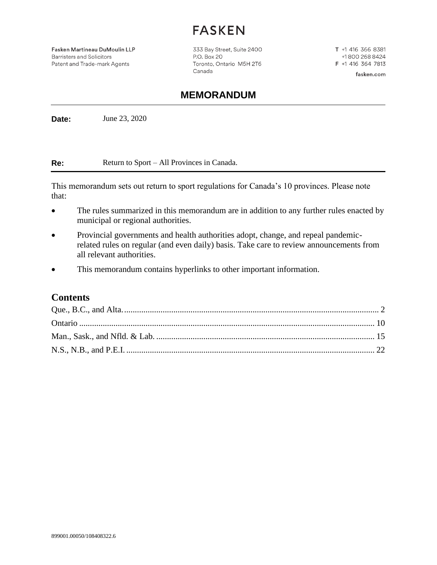Fasken Martineau DuMoulin LLP **Barristers and Solicitors** Patent and Trade-mark Agents

333 Bay Street, Suite 2400 P.O. Box 20 Toronto, Ontario M5H 2T6 Canada

T +1 416 366 8381 +1800 268 8424 F +1 416 364 7813

fasken.com

#### **MEMORANDUM**

**Date:** June 23, 2020

**Re:** Return to Sport – All Provinces in Canada.

This memorandum sets out return to sport regulations for Canada's 10 provinces. Please note that:

- The rules summarized in this memorandum are in addition to any further rules enacted by municipal or regional authorities.
- Provincial governments and health authorities adopt, change, and repeal pandemicrelated rules on regular (and even daily) basis. Take care to review announcements from all relevant authorities.
- This memorandum contains hyperlinks to other important information.

#### **Contents**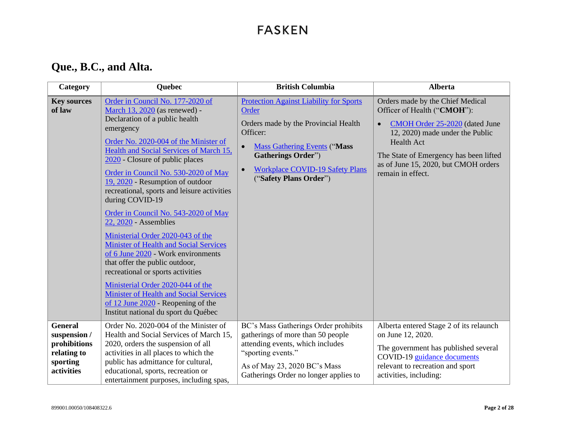#### **Que., B.C., and Alta.**

<span id="page-1-0"></span>

| Category                                                                                | <b>Quebec</b>                                                                                                                                                                                                                                                                                                                                                                                                                                                                                                                                                                                                                                                                                                                                                                                                                 | <b>British Columbia</b>                                                                                                                                                                                                                                                        | <b>Alberta</b>                                                                                                                                                                                                                                                                |
|-----------------------------------------------------------------------------------------|-------------------------------------------------------------------------------------------------------------------------------------------------------------------------------------------------------------------------------------------------------------------------------------------------------------------------------------------------------------------------------------------------------------------------------------------------------------------------------------------------------------------------------------------------------------------------------------------------------------------------------------------------------------------------------------------------------------------------------------------------------------------------------------------------------------------------------|--------------------------------------------------------------------------------------------------------------------------------------------------------------------------------------------------------------------------------------------------------------------------------|-------------------------------------------------------------------------------------------------------------------------------------------------------------------------------------------------------------------------------------------------------------------------------|
| <b>Key sources</b><br>of law                                                            | Order in Council No. 177-2020 of<br>March 13, 2020 (as renewed) -<br>Declaration of a public health<br>emergency<br>Order No. 2020-004 of the Minister of<br>Health and Social Services of March 15,<br>2020 - Closure of public places<br>Order in Council No. 530-2020 of May<br>19, 2020 - Resumption of outdoor<br>recreational, sports and leisure activities<br>during COVID-19<br>Order in Council No. 543-2020 of May<br>22, 2020 - Assemblies<br>Ministerial Order 2020-043 of the<br><b>Minister of Health and Social Services</b><br>of 6 June 2020 - Work environments<br>that offer the public outdoor,<br>recreational or sports activities<br>Ministerial Order 2020-044 of the<br><b>Minister of Health and Social Services</b><br>of 12 June 2020 - Reopening of the<br>Institut national du sport du Québec | <b>Protection Against Liability for Sports</b><br>Order<br>Orders made by the Provincial Health<br>Officer:<br><b>Mass Gathering Events ("Mass</b><br>$\bullet$<br><b>Gatherings Order"</b> )<br><b>Workplace COVID-19 Safety Plans</b><br>$\bullet$<br>("Safety Plans Order") | Orders made by the Chief Medical<br>Officer of Health ("CMOH"):<br>CMOH Order 25-2020 (dated June<br>$\bullet$<br>12, 2020) made under the Public<br><b>Health Act</b><br>The State of Emergency has been lifted<br>as of June 15, 2020, but CMOH orders<br>remain in effect. |
| <b>General</b><br>suspension /<br>prohibitions<br>relating to<br>sporting<br>activities | Order No. 2020-004 of the Minister of<br>Health and Social Services of March 15,<br>2020, orders the suspension of all<br>activities in all places to which the<br>public has admittance for cultural,<br>educational, sports, recreation or<br>entertainment purposes, including spas,                                                                                                                                                                                                                                                                                                                                                                                                                                                                                                                                       | BC's Mass Gatherings Order prohibits<br>gatherings of more than 50 people<br>attending events, which includes<br>"sporting events."<br>As of May 23, 2020 BC's Mass<br>Gatherings Order no longer applies to                                                                   | Alberta entered Stage 2 of its relaunch<br>on June 12, 2020.<br>The government has published several<br>COVID-19 guidance documents<br>relevant to recreation and sport<br>activities, including:                                                                             |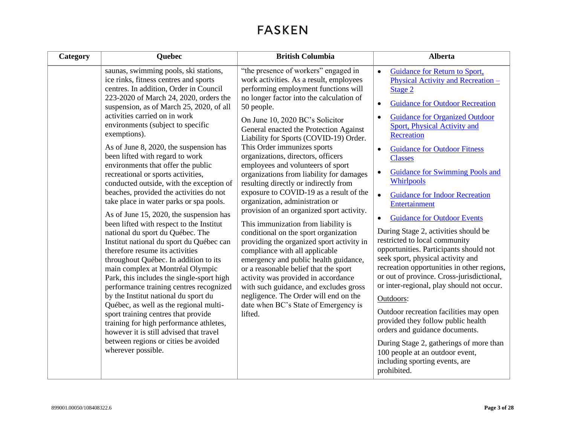| Category | <b>Quebec</b>                                                                                                                                                                                                                                                                                                                                                                                                                                                                                                                                                                                                                                                                                                                                                                                                                                                                                                                                                                                                                                                                                                                                                                                                                                               | <b>British Columbia</b>                                                                                                                                                                                                                                                                                                                                                                                                                                                                                                                                                                                                                                                                                                                                                                                                                                                                                                                                                                                                                                          | <b>Alberta</b>                                                                                                                                                                                                                                                                                                                                                                                                                                                                                                                                                                                                                                                                                                                                                                                                                                                                                                                                                                                                                                                                                  |
|----------|-------------------------------------------------------------------------------------------------------------------------------------------------------------------------------------------------------------------------------------------------------------------------------------------------------------------------------------------------------------------------------------------------------------------------------------------------------------------------------------------------------------------------------------------------------------------------------------------------------------------------------------------------------------------------------------------------------------------------------------------------------------------------------------------------------------------------------------------------------------------------------------------------------------------------------------------------------------------------------------------------------------------------------------------------------------------------------------------------------------------------------------------------------------------------------------------------------------------------------------------------------------|------------------------------------------------------------------------------------------------------------------------------------------------------------------------------------------------------------------------------------------------------------------------------------------------------------------------------------------------------------------------------------------------------------------------------------------------------------------------------------------------------------------------------------------------------------------------------------------------------------------------------------------------------------------------------------------------------------------------------------------------------------------------------------------------------------------------------------------------------------------------------------------------------------------------------------------------------------------------------------------------------------------------------------------------------------------|-------------------------------------------------------------------------------------------------------------------------------------------------------------------------------------------------------------------------------------------------------------------------------------------------------------------------------------------------------------------------------------------------------------------------------------------------------------------------------------------------------------------------------------------------------------------------------------------------------------------------------------------------------------------------------------------------------------------------------------------------------------------------------------------------------------------------------------------------------------------------------------------------------------------------------------------------------------------------------------------------------------------------------------------------------------------------------------------------|
|          | saunas, swimming pools, ski stations,<br>ice rinks, fitness centres and sports<br>centres. In addition, Order in Council<br>223-2020 of March 24, 2020, orders the<br>suspension, as of March 25, 2020, of all<br>activities carried on in work<br>environments (subject to specific<br>exemptions).<br>As of June 8, 2020, the suspension has<br>been lifted with regard to work<br>environments that offer the public<br>recreational or sports activities,<br>conducted outside, with the exception of<br>beaches, provided the activities do not<br>take place in water parks or spa pools.<br>As of June 15, 2020, the suspension has<br>been lifted with respect to the Institut<br>national du sport du Québec. The<br>Institut national du sport du Québec can<br>therefore resume its activities<br>throughout Québec. In addition to its<br>main complex at Montréal Olympic<br>Park, this includes the single-sport high<br>performance training centres recognized<br>by the Institut national du sport du<br>Québec, as well as the regional multi-<br>sport training centres that provide<br>training for high performance athletes,<br>however it is still advised that travel<br>between regions or cities be avoided<br>wherever possible. | "the presence of workers" engaged in<br>work activities. As a result, employees<br>performing employment functions will<br>no longer factor into the calculation of<br>50 people.<br>On June 10, 2020 BC's Solicitor<br>General enacted the Protection Against<br>Liability for Sports (COVID-19) Order.<br>This Order immunizes sports<br>organizations, directors, officers<br>employees and volunteers of sport<br>organizations from liability for damages<br>resulting directly or indirectly from<br>exposure to COVID-19 as a result of the<br>organization, administration or<br>provision of an organized sport activity.<br>This immunization from liability is<br>conditional on the sport organization<br>providing the organized sport activity in<br>compliance with all applicable<br>emergency and public health guidance,<br>or a reasonable belief that the sport<br>activity was provided in accordance<br>with such guidance, and excludes gross<br>negligence. The Order will end on the<br>date when BC's State of Emergency is<br>lifted. | Guidance for Return to Sport,<br>$\bullet$<br>Physical Activity and Recreation-<br>Stage 2<br><b>Guidance for Outdoor Recreation</b><br>$\bullet$<br><b>Guidance for Organized Outdoor</b><br>$\bullet$<br><b>Sport, Physical Activity and</b><br>Recreation<br><b>Guidance for Outdoor Fitness</b><br>$\bullet$<br><b>Classes</b><br><b>Guidance for Swimming Pools and</b><br>$\bullet$<br>Whirlpools<br><b>Guidance for Indoor Recreation</b><br>$\bullet$<br>Entertainment<br><b>Guidance for Outdoor Events</b><br>$\bullet$<br>During Stage 2, activities should be<br>restricted to local community<br>opportunities. Participants should not<br>seek sport, physical activity and<br>recreation opportunities in other regions,<br>or out of province. Cross-jurisdictional,<br>or inter-regional, play should not occur.<br>Outdoors:<br>Outdoor recreation facilities may open<br>provided they follow public health<br>orders and guidance documents.<br>During Stage 2, gatherings of more than<br>100 people at an outdoor event,<br>including sporting events, are<br>prohibited. |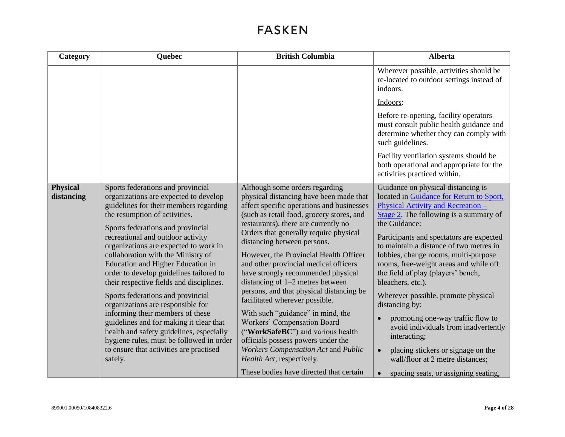| Category                      | <b>Quebec</b>                                                                                                                                                                                                                                                                                                                                                                                                                                                                                                                                                                                                                                                                                                                                            | <b>British Columbia</b>                                                                                                                                                                                                                                                                                                                                                                                                                                                                                                                                                                                                                                                                                                                                                                                | <b>Alberta</b>                                                                                                                                                                                                                                                                                                                                                                                                                                                                                                                                                                                                                                                                                                        |
|-------------------------------|----------------------------------------------------------------------------------------------------------------------------------------------------------------------------------------------------------------------------------------------------------------------------------------------------------------------------------------------------------------------------------------------------------------------------------------------------------------------------------------------------------------------------------------------------------------------------------------------------------------------------------------------------------------------------------------------------------------------------------------------------------|--------------------------------------------------------------------------------------------------------------------------------------------------------------------------------------------------------------------------------------------------------------------------------------------------------------------------------------------------------------------------------------------------------------------------------------------------------------------------------------------------------------------------------------------------------------------------------------------------------------------------------------------------------------------------------------------------------------------------------------------------------------------------------------------------------|-----------------------------------------------------------------------------------------------------------------------------------------------------------------------------------------------------------------------------------------------------------------------------------------------------------------------------------------------------------------------------------------------------------------------------------------------------------------------------------------------------------------------------------------------------------------------------------------------------------------------------------------------------------------------------------------------------------------------|
|                               |                                                                                                                                                                                                                                                                                                                                                                                                                                                                                                                                                                                                                                                                                                                                                          |                                                                                                                                                                                                                                                                                                                                                                                                                                                                                                                                                                                                                                                                                                                                                                                                        | Wherever possible, activities should be<br>re-located to outdoor settings instead of<br>indoors.                                                                                                                                                                                                                                                                                                                                                                                                                                                                                                                                                                                                                      |
|                               |                                                                                                                                                                                                                                                                                                                                                                                                                                                                                                                                                                                                                                                                                                                                                          |                                                                                                                                                                                                                                                                                                                                                                                                                                                                                                                                                                                                                                                                                                                                                                                                        | Indoors:                                                                                                                                                                                                                                                                                                                                                                                                                                                                                                                                                                                                                                                                                                              |
|                               |                                                                                                                                                                                                                                                                                                                                                                                                                                                                                                                                                                                                                                                                                                                                                          |                                                                                                                                                                                                                                                                                                                                                                                                                                                                                                                                                                                                                                                                                                                                                                                                        | Before re-opening, facility operators<br>must consult public health guidance and<br>determine whether they can comply with<br>such guidelines.                                                                                                                                                                                                                                                                                                                                                                                                                                                                                                                                                                        |
|                               |                                                                                                                                                                                                                                                                                                                                                                                                                                                                                                                                                                                                                                                                                                                                                          |                                                                                                                                                                                                                                                                                                                                                                                                                                                                                                                                                                                                                                                                                                                                                                                                        | Facility ventilation systems should be<br>both operational and appropriate for the<br>activities practiced within.                                                                                                                                                                                                                                                                                                                                                                                                                                                                                                                                                                                                    |
| <b>Physical</b><br>distancing | Sports federations and provincial<br>organizations are expected to develop<br>guidelines for their members regarding<br>the resumption of activities.<br>Sports federations and provincial<br>recreational and outdoor activity<br>organizations are expected to work in<br>collaboration with the Ministry of<br><b>Education and Higher Education in</b><br>order to develop guidelines tailored to<br>their respective fields and disciplines.<br>Sports federations and provincial<br>organizations are responsible for<br>informing their members of these<br>guidelines and for making it clear that<br>health and safety guidelines, especially<br>hygiene rules, must be followed in order<br>to ensure that activities are practised<br>safely. | Although some orders regarding<br>physical distancing have been made that<br>affect specific operations and businesses<br>(such as retail food, grocery stores, and<br>restaurants), there are currently no<br>Orders that generally require physical<br>distancing between persons.<br>However, the Provincial Health Officer<br>and other provincial medical officers<br>have strongly recommended physical<br>distancing of $1-2$ metres between<br>persons, and that physical distancing be<br>facilitated wherever possible.<br>With such "guidance" in mind, the<br>Workers' Compensation Board<br>("WorkSafeBC") and various health<br>officials possess powers under the<br><b>Workers Compensation Act and Public</b><br>Health Act, respectively.<br>These bodies have directed that certain | Guidance on physical distancing is<br>located in Guidance for Return to Sport,<br>Physical Activity and Recreation -<br>Stage 2. The following is a summary of<br>the Guidance:<br>Participants and spectators are expected<br>to maintain a distance of two metres in<br>lobbies, change rooms, multi-purpose<br>rooms, free-weight areas and while off<br>the field of play (players' bench,<br>bleachers, etc.).<br>Wherever possible, promote physical<br>distancing by:<br>promoting one-way traffic flow to<br>avoid individuals from inadvertently<br>interacting;<br>placing stickers or signage on the<br>$\bullet$<br>wall/floor at 2 metre distances;<br>spacing seats, or assigning seating,<br>$\bullet$ |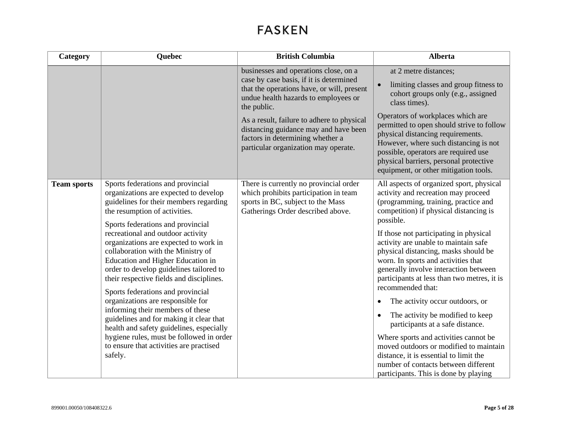| Category           | <b>Quebec</b>                                                                                                                                                                                                                                                                                                                                                                                                                                                                                                                                                                                                                                                                                                                                     | <b>British Columbia</b>                                                                                                                                                                                                                                                                                                                                  | <b>Alberta</b>                                                                                                                                                                                                                                                                                                                                                                                                                                                                                                                                                                                                                                                                                                                                                                                                  |
|--------------------|---------------------------------------------------------------------------------------------------------------------------------------------------------------------------------------------------------------------------------------------------------------------------------------------------------------------------------------------------------------------------------------------------------------------------------------------------------------------------------------------------------------------------------------------------------------------------------------------------------------------------------------------------------------------------------------------------------------------------------------------------|----------------------------------------------------------------------------------------------------------------------------------------------------------------------------------------------------------------------------------------------------------------------------------------------------------------------------------------------------------|-----------------------------------------------------------------------------------------------------------------------------------------------------------------------------------------------------------------------------------------------------------------------------------------------------------------------------------------------------------------------------------------------------------------------------------------------------------------------------------------------------------------------------------------------------------------------------------------------------------------------------------------------------------------------------------------------------------------------------------------------------------------------------------------------------------------|
|                    |                                                                                                                                                                                                                                                                                                                                                                                                                                                                                                                                                                                                                                                                                                                                                   | businesses and operations close, on a<br>case by case basis, if it is determined<br>that the operations have, or will, present<br>undue health hazards to employees or<br>the public.<br>As a result, failure to adhere to physical<br>distancing guidance may and have been<br>factors in determining whether a<br>particular organization may operate. | at 2 metre distances;<br>limiting classes and group fitness to<br>cohort groups only (e.g., assigned<br>class times).<br>Operators of workplaces which are<br>permitted to open should strive to follow<br>physical distancing requirements.<br>However, where such distancing is not<br>possible, operators are required use<br>physical barriers, personal protective<br>equipment, or other mitigation tools.                                                                                                                                                                                                                                                                                                                                                                                                |
| <b>Team sports</b> | Sports federations and provincial<br>organizations are expected to develop<br>guidelines for their members regarding<br>the resumption of activities.<br>Sports federations and provincial<br>recreational and outdoor activity<br>organizations are expected to work in<br>collaboration with the Ministry of<br>Education and Higher Education in<br>order to develop guidelines tailored to<br>their respective fields and disciplines.<br>Sports federations and provincial<br>organizations are responsible for<br>informing their members of these<br>guidelines and for making it clear that<br>health and safety guidelines, especially<br>hygiene rules, must be followed in order<br>to ensure that activities are practised<br>safely. | There is currently no provincial order<br>which prohibits participation in team<br>sports in BC, subject to the Mass<br>Gatherings Order described above.                                                                                                                                                                                                | All aspects of organized sport, physical<br>activity and recreation may proceed<br>(programming, training, practice and<br>competition) if physical distancing is<br>possible.<br>If those not participating in physical<br>activity are unable to maintain safe<br>physical distancing, masks should be<br>worn. In sports and activities that<br>generally involve interaction between<br>participants at less than two metres, it is<br>recommended that:<br>The activity occur outdoors, or<br>$\bullet$<br>The activity be modified to keep<br>$\bullet$<br>participants at a safe distance.<br>Where sports and activities cannot be<br>moved outdoors or modified to maintain<br>distance, it is essential to limit the<br>number of contacts between different<br>participants. This is done by playing |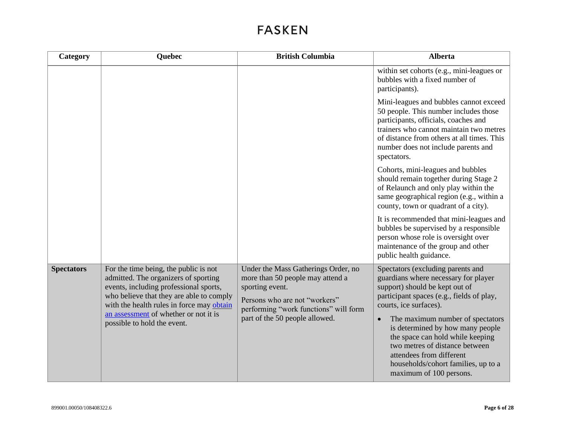| Category          | <b>Quebec</b>                                                                                                                                                                                                    | <b>British Columbia</b>                                                                                                                                              | <b>Alberta</b>                                                                                                                                                                                                                                                         |
|-------------------|------------------------------------------------------------------------------------------------------------------------------------------------------------------------------------------------------------------|----------------------------------------------------------------------------------------------------------------------------------------------------------------------|------------------------------------------------------------------------------------------------------------------------------------------------------------------------------------------------------------------------------------------------------------------------|
|                   |                                                                                                                                                                                                                  |                                                                                                                                                                      | within set cohorts (e.g., mini-leagues or<br>bubbles with a fixed number of<br>participants).                                                                                                                                                                          |
|                   |                                                                                                                                                                                                                  |                                                                                                                                                                      | Mini-leagues and bubbles cannot exceed<br>50 people. This number includes those<br>participants, officials, coaches and<br>trainers who cannot maintain two metres<br>of distance from others at all times. This<br>number does not include parents and<br>spectators. |
|                   |                                                                                                                                                                                                                  |                                                                                                                                                                      | Cohorts, mini-leagues and bubbles<br>should remain together during Stage 2<br>of Relaunch and only play within the<br>same geographical region (e.g., within a<br>county, town or quadrant of a city).                                                                 |
|                   |                                                                                                                                                                                                                  |                                                                                                                                                                      | It is recommended that mini-leagues and<br>bubbles be supervised by a responsible<br>person whose role is oversight over<br>maintenance of the group and other<br>public health guidance.                                                                              |
| <b>Spectators</b> | For the time being, the public is not<br>admitted. The organizers of sporting<br>events, including professional sports,<br>who believe that they are able to comply<br>with the health rules in force may obtain | Under the Mass Gatherings Order, no<br>more than 50 people may attend a<br>sporting event.<br>Persons who are not "workers"<br>performing "work functions" will form | Spectators (excluding parents and<br>guardians where necessary for player<br>support) should be kept out of<br>participant spaces (e.g., fields of play,<br>courts, ice surfaces).                                                                                     |
|                   | an assessment of whether or not it is<br>possible to hold the event.                                                                                                                                             | part of the 50 people allowed.                                                                                                                                       | The maximum number of spectators<br>$\bullet$<br>is determined by how many people<br>the space can hold while keeping<br>two metres of distance between<br>attendees from different<br>households/cohort families, up to a<br>maximum of 100 persons.                  |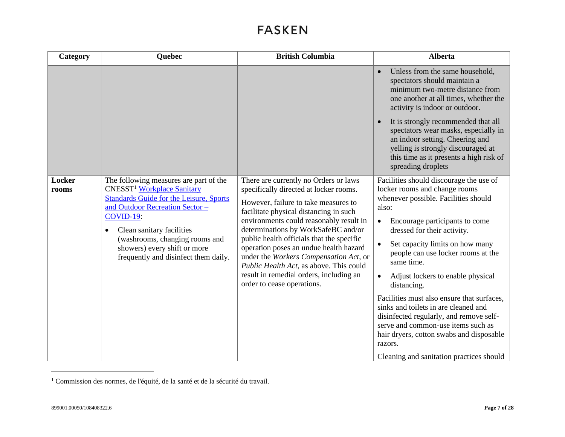| Category        | <b>Quebec</b>                                                                                                                                                                                                                                                                                                                                | <b>British Columbia</b>                                                                                                                                                                                                                                                                                                                                                                                                                                                                                  | <b>Alberta</b>                                                                                                                                                                                                                                                                                                                                                                                                                                                                                                                                                                                                                                         |
|-----------------|----------------------------------------------------------------------------------------------------------------------------------------------------------------------------------------------------------------------------------------------------------------------------------------------------------------------------------------------|----------------------------------------------------------------------------------------------------------------------------------------------------------------------------------------------------------------------------------------------------------------------------------------------------------------------------------------------------------------------------------------------------------------------------------------------------------------------------------------------------------|--------------------------------------------------------------------------------------------------------------------------------------------------------------------------------------------------------------------------------------------------------------------------------------------------------------------------------------------------------------------------------------------------------------------------------------------------------------------------------------------------------------------------------------------------------------------------------------------------------------------------------------------------------|
|                 |                                                                                                                                                                                                                                                                                                                                              |                                                                                                                                                                                                                                                                                                                                                                                                                                                                                                          | Unless from the same household,<br>$\bullet$<br>spectators should maintain a<br>minimum two-metre distance from<br>one another at all times, whether the<br>activity is indoor or outdoor.<br>It is strongly recommended that all                                                                                                                                                                                                                                                                                                                                                                                                                      |
|                 |                                                                                                                                                                                                                                                                                                                                              |                                                                                                                                                                                                                                                                                                                                                                                                                                                                                                          | spectators wear masks, especially in<br>an indoor setting. Cheering and<br>yelling is strongly discouraged at<br>this time as it presents a high risk of<br>spreading droplets                                                                                                                                                                                                                                                                                                                                                                                                                                                                         |
| Locker<br>rooms | The following measures are part of the<br><b>CNESST<sup>1</sup></b> Workplace Sanitary<br><b>Standards Guide for the Leisure, Sports</b><br>and Outdoor Recreation Sector -<br>COVID-19:<br>Clean sanitary facilities<br>$\bullet$<br>(washrooms, changing rooms and<br>showers) every shift or more<br>frequently and disinfect them daily. | There are currently no Orders or laws<br>specifically directed at locker rooms.<br>However, failure to take measures to<br>facilitate physical distancing in such<br>environments could reasonably result in<br>determinations by WorkSafeBC and/or<br>public health officials that the specific<br>operation poses an undue health hazard<br>under the Workers Compensation Act, or<br>Public Health Act, as above. This could<br>result in remedial orders, including an<br>order to cease operations. | Facilities should discourage the use of<br>locker rooms and change rooms<br>whenever possible. Facilities should<br>also:<br>Encourage participants to come<br>$\bullet$<br>dressed for their activity.<br>Set capacity limits on how many<br>$\bullet$<br>people can use locker rooms at the<br>same time.<br>Adjust lockers to enable physical<br>$\bullet$<br>distancing.<br>Facilities must also ensure that surfaces,<br>sinks and toilets in are cleaned and<br>disinfected regularly, and remove self-<br>serve and common-use items such as<br>hair dryers, cotton swabs and disposable<br>razors.<br>Cleaning and sanitation practices should |

<sup>&</sup>lt;sup>1</sup> Commission des normes, de l'équité, de la santé et de la sécurité du travail.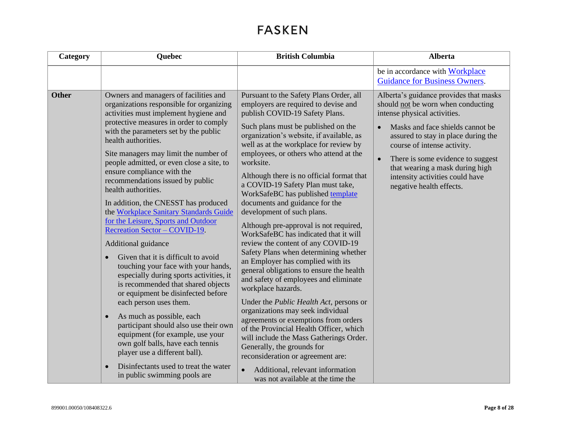| Category     | Quebec                                                                                                                                                                                                                                                                                                                                                                                                                                                                                                                                                                                                                                                                                                                                                                                                                                                                                                                                                                                                                                                                                                                             | <b>British Columbia</b>                                                                                                                                                                                                                                                                                                                                                                                                                                                                                                                                                                                                                                                                                                                                                                                                                                                                                                                                                                                                                                                                                                                                                          | <b>Alberta</b>                                                                                                                                                                                                                                                                                                                                                                          |
|--------------|------------------------------------------------------------------------------------------------------------------------------------------------------------------------------------------------------------------------------------------------------------------------------------------------------------------------------------------------------------------------------------------------------------------------------------------------------------------------------------------------------------------------------------------------------------------------------------------------------------------------------------------------------------------------------------------------------------------------------------------------------------------------------------------------------------------------------------------------------------------------------------------------------------------------------------------------------------------------------------------------------------------------------------------------------------------------------------------------------------------------------------|----------------------------------------------------------------------------------------------------------------------------------------------------------------------------------------------------------------------------------------------------------------------------------------------------------------------------------------------------------------------------------------------------------------------------------------------------------------------------------------------------------------------------------------------------------------------------------------------------------------------------------------------------------------------------------------------------------------------------------------------------------------------------------------------------------------------------------------------------------------------------------------------------------------------------------------------------------------------------------------------------------------------------------------------------------------------------------------------------------------------------------------------------------------------------------|-----------------------------------------------------------------------------------------------------------------------------------------------------------------------------------------------------------------------------------------------------------------------------------------------------------------------------------------------------------------------------------------|
|              |                                                                                                                                                                                                                                                                                                                                                                                                                                                                                                                                                                                                                                                                                                                                                                                                                                                                                                                                                                                                                                                                                                                                    |                                                                                                                                                                                                                                                                                                                                                                                                                                                                                                                                                                                                                                                                                                                                                                                                                                                                                                                                                                                                                                                                                                                                                                                  | be in accordance with Workplace<br><b>Guidance for Business Owners.</b>                                                                                                                                                                                                                                                                                                                 |
| <b>Other</b> | Owners and managers of facilities and<br>organizations responsible for organizing<br>activities must implement hygiene and<br>protective measures in order to comply<br>with the parameters set by the public<br>health authorities.<br>Site managers may limit the number of<br>people admitted, or even close a site, to<br>ensure compliance with the<br>recommendations issued by public<br>health authorities.<br>In addition, the CNESST has produced<br>the Workplace Sanitary Standards Guide<br>for the Leisure, Sports and Outdoor<br>Recreation Sector - COVID-19.<br>Additional guidance<br>Given that it is difficult to avoid<br>$\bullet$<br>touching your face with your hands,<br>especially during sports activities, it<br>is recommended that shared objects<br>or equipment be disinfected before<br>each person uses them.<br>As much as possible, each<br>$\bullet$<br>participant should also use their own<br>equipment (for example, use your<br>own golf balls, have each tennis<br>player use a different ball).<br>Disinfectants used to treat the water<br>$\bullet$<br>in public swimming pools are | Pursuant to the Safety Plans Order, all<br>employers are required to devise and<br>publish COVID-19 Safety Plans.<br>Such plans must be published on the<br>organization's website, if available, as<br>well as at the workplace for review by<br>employees, or others who attend at the<br>worksite.<br>Although there is no official format that<br>a COVID-19 Safety Plan must take,<br>WorkSafeBC has published template<br>documents and guidance for the<br>development of such plans.<br>Although pre-approval is not required,<br>WorkSafeBC has indicated that it will<br>review the content of any COVID-19<br>Safety Plans when determining whether<br>an Employer has complied with its<br>general obligations to ensure the health<br>and safety of employees and eliminate<br>workplace hazards.<br>Under the <i>Public Health Act</i> , persons or<br>organizations may seek individual<br>agreements or exemptions from orders<br>of the Provincial Health Officer, which<br>will include the Mass Gatherings Order.<br>Generally, the grounds for<br>reconsideration or agreement are:<br>Additional, relevant information<br>was not available at the time the | Alberta's guidance provides that masks<br>should not be worn when conducting<br>intense physical activities.<br>Masks and face shields cannot be<br>$\bullet$<br>assured to stay in place during the<br>course of intense activity.<br>There is some evidence to suggest<br>$\bullet$<br>that wearing a mask during high<br>intensity activities could have<br>negative health effects. |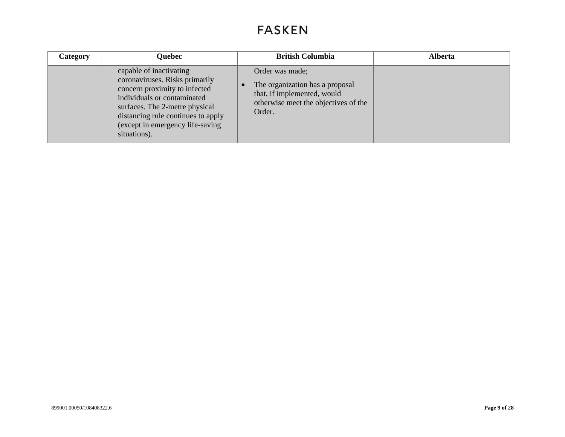| Category | <b>Quebec</b>                                                                                                                                                                                                                                         | <b>British Columbia</b>                                                                                                             | Alberta |
|----------|-------------------------------------------------------------------------------------------------------------------------------------------------------------------------------------------------------------------------------------------------------|-------------------------------------------------------------------------------------------------------------------------------------|---------|
|          | capable of inactivating<br>coronaviruses. Risks primarily<br>concern proximity to infected<br>individuals or contaminated<br>surfaces. The 2-metre physical<br>distancing rule continues to apply<br>(except in emergency life-saving<br>situations). | Order was made;<br>The organization has a proposal<br>that, if implemented, would<br>otherwise meet the objectives of the<br>Order. |         |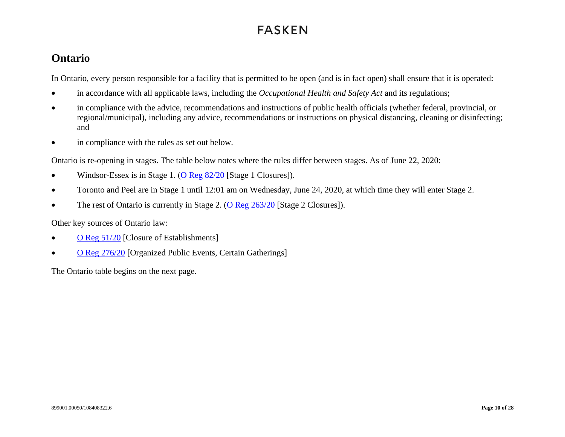#### **Ontario**

In Ontario, every person responsible for a facility that is permitted to be open (and is in fact open) shall ensure that it is operated:

- in accordance with all applicable laws, including the *Occupational Health and Safety Act* and its regulations;
- in compliance with the advice, recommendations and instructions of public health officials (whether federal, provincial, or regional/municipal), including any advice, recommendations or instructions on physical distancing, cleaning or disinfecting; and
- in compliance with the rules as set out below.

Ontario is re-opening in stages. The table below notes where the rules differ between stages. As of June 22, 2020:

- Windsor-Essex is in Stage 1. [\(O Reg 82/20](https://www.ontario.ca/laws/regulation/200082) [Stage 1 Closures]).
- <span id="page-9-0"></span>• Toronto and Peel are in Stage 1 until 12:01 am on Wednesday, June 24, 2020, at which time they will enter Stage 2.
- The rest of Ontario is currently in Stage 2. (O Reg  $263/20$  [Stage 2 Closures]).

Other key sources of Ontario law:

- O Reg  $51/20$  [Closure of Establishments]
- [O Reg 276/20](https://www.ontario.ca/laws/regulation/200276) [Organized Public Events, Certain Gatherings]

The Ontario table begins on the next page.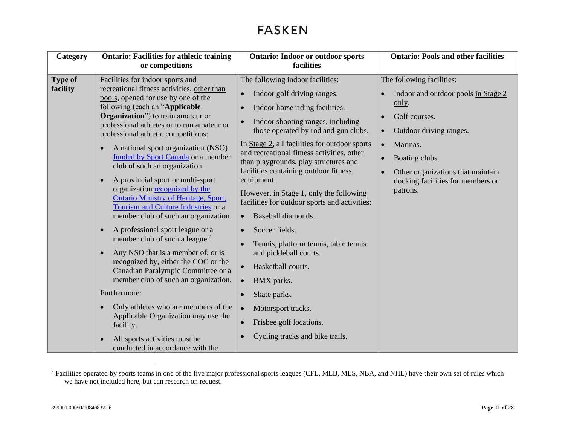| Category                   | <b>Ontario: Facilities for athletic training</b><br>or competitions                                                                                                                                                                                                                                                                                                                                                                                                                                                                                                                                                                                                                                                                                                                                                                                                                                                                                                                                                                                           | <b>Ontario:</b> Indoor or outdoor sports<br>facilities                                                                                                                                                                                                                                                                                                                                                                                                                                                                                                                                                                                                                                                                                                                                                                                   | <b>Ontario: Pools and other facilities</b>                                                                                                                                                                                                                                                                 |
|----------------------------|---------------------------------------------------------------------------------------------------------------------------------------------------------------------------------------------------------------------------------------------------------------------------------------------------------------------------------------------------------------------------------------------------------------------------------------------------------------------------------------------------------------------------------------------------------------------------------------------------------------------------------------------------------------------------------------------------------------------------------------------------------------------------------------------------------------------------------------------------------------------------------------------------------------------------------------------------------------------------------------------------------------------------------------------------------------|------------------------------------------------------------------------------------------------------------------------------------------------------------------------------------------------------------------------------------------------------------------------------------------------------------------------------------------------------------------------------------------------------------------------------------------------------------------------------------------------------------------------------------------------------------------------------------------------------------------------------------------------------------------------------------------------------------------------------------------------------------------------------------------------------------------------------------------|------------------------------------------------------------------------------------------------------------------------------------------------------------------------------------------------------------------------------------------------------------------------------------------------------------|
| <b>Type of</b><br>facility | Facilities for indoor sports and<br>recreational fitness activities, other than<br>pools, opened for use by one of the<br>following (each an "Applicable<br><b>Organization</b> ") to train amateur or<br>professional athletes or to run amateur or<br>professional athletic competitions:<br>A national sport organization (NSO)<br>funded by Sport Canada or a member<br>club of such an organization.<br>A provincial sport or multi-sport<br>$\bullet$<br>organization recognized by the<br><b>Ontario Ministry of Heritage, Sport,</b><br>Tourism and Culture Industries or a<br>member club of such an organization.<br>A professional sport league or a<br>$\bullet$<br>member club of such a league. <sup>2</sup><br>Any NSO that is a member of, or is<br>$\bullet$<br>recognized by, either the COC or the<br>Canadian Paralympic Committee or a<br>member club of such an organization.<br>Furthermore:<br>Only athletes who are members of the<br>$\bullet$<br>Applicable Organization may use the<br>facility.<br>All sports activities must be | The following indoor facilities:<br>Indoor golf driving ranges.<br>$\bullet$<br>Indoor horse riding facilities.<br>Indoor shooting ranges, including<br>those operated by rod and gun clubs.<br>In Stage 2, all facilities for outdoor sports<br>and recreational fitness activities, other<br>than playgrounds, play structures and<br>facilities containing outdoor fitness<br>equipment.<br>However, in $Stage 1$ , only the following<br>facilities for outdoor sports and activities:<br>Baseball diamonds.<br>$\bullet$<br>Soccer fields.<br>$\bullet$<br>Tennis, platform tennis, table tennis<br>and pickleball courts.<br>Basketball courts.<br>$\bullet$<br>BMX parks.<br>$\bullet$<br>Skate parks.<br>$\bullet$<br>Motorsport tracks.<br>$\bullet$<br>Frisbee golf locations.<br>$\bullet$<br>Cycling tracks and bike trails. | The following facilities:<br>Indoor and outdoor pools in Stage 2<br>only.<br>Golf courses.<br>$\bullet$<br>Outdoor driving ranges.<br>$\bullet$<br>Marinas.<br>$\bullet$<br>Boating clubs.<br>$\bullet$<br>Other organizations that maintain<br>$\bullet$<br>docking facilities for members or<br>patrons. |
|                            | conducted in accordance with the                                                                                                                                                                                                                                                                                                                                                                                                                                                                                                                                                                                                                                                                                                                                                                                                                                                                                                                                                                                                                              |                                                                                                                                                                                                                                                                                                                                                                                                                                                                                                                                                                                                                                                                                                                                                                                                                                          |                                                                                                                                                                                                                                                                                                            |

<sup>&</sup>lt;sup>2</sup> Facilities operated by sports teams in one of the five major professional sports leagues (CFL, MLB, MLS, NBA, and NHL) have their own set of rules which we have not included here, but can research on request.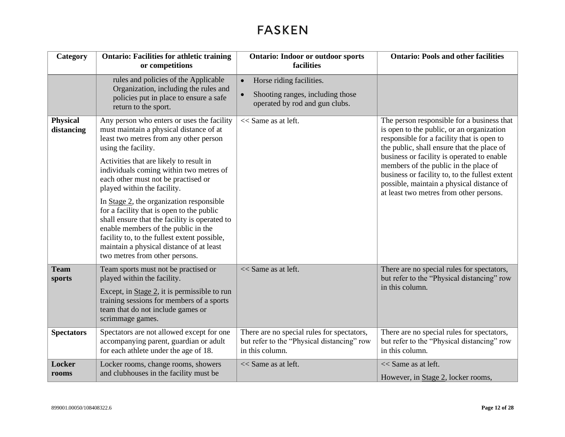| Category                      | <b>Ontario: Facilities for athletic training</b><br>or competitions                                                                                                                                                                                                                                                                                                                                                                                                                                                                                                                                                               | <b>Ontario:</b> Indoor or outdoor sports<br>facilities                                                      | <b>Ontario: Pools and other facilities</b>                                                                                                                                                                                                                                                                                                                                                                           |
|-------------------------------|-----------------------------------------------------------------------------------------------------------------------------------------------------------------------------------------------------------------------------------------------------------------------------------------------------------------------------------------------------------------------------------------------------------------------------------------------------------------------------------------------------------------------------------------------------------------------------------------------------------------------------------|-------------------------------------------------------------------------------------------------------------|----------------------------------------------------------------------------------------------------------------------------------------------------------------------------------------------------------------------------------------------------------------------------------------------------------------------------------------------------------------------------------------------------------------------|
|                               | rules and policies of the Applicable<br>Organization, including the rules and<br>policies put in place to ensure a safe<br>return to the sport.                                                                                                                                                                                                                                                                                                                                                                                                                                                                                   | Horse riding facilities.<br>$\bullet$<br>Shooting ranges, including those<br>operated by rod and gun clubs. |                                                                                                                                                                                                                                                                                                                                                                                                                      |
| <b>Physical</b><br>distancing | Any person who enters or uses the facility<br>must maintain a physical distance of at<br>least two metres from any other person<br>using the facility.<br>Activities that are likely to result in<br>individuals coming within two metres of<br>each other must not be practised or<br>played within the facility.<br>In Stage 2, the organization responsible<br>for a facility that is open to the public<br>shall ensure that the facility is operated to<br>enable members of the public in the<br>facility to, to the fullest extent possible,<br>maintain a physical distance of at least<br>two metres from other persons. | << Same as at left.                                                                                         | The person responsible for a business that<br>is open to the public, or an organization<br>responsible for a facility that is open to<br>the public, shall ensure that the place of<br>business or facility is operated to enable<br>members of the public in the place of<br>business or facility to, to the fullest extent<br>possible, maintain a physical distance of<br>at least two metres from other persons. |
| <b>Team</b><br>sports         | Team sports must not be practised or<br>played within the facility.<br>Except, in $Stage\ 2$ , it is permissible to run<br>training sessions for members of a sports<br>team that do not include games or<br>scrimmage games.                                                                                                                                                                                                                                                                                                                                                                                                     | << Same as at left.                                                                                         | There are no special rules for spectators,<br>but refer to the "Physical distancing" row<br>in this column.                                                                                                                                                                                                                                                                                                          |
| <b>Spectators</b>             | Spectators are not allowed except for one<br>accompanying parent, guardian or adult<br>for each athlete under the age of 18.                                                                                                                                                                                                                                                                                                                                                                                                                                                                                                      | There are no special rules for spectators,<br>but refer to the "Physical distancing" row<br>in this column. | There are no special rules for spectators,<br>but refer to the "Physical distancing" row<br>in this column.                                                                                                                                                                                                                                                                                                          |
| Locker<br>rooms               | Locker rooms, change rooms, showers<br>and clubhouses in the facility must be                                                                                                                                                                                                                                                                                                                                                                                                                                                                                                                                                     | << Same as at left.                                                                                         | << Same as at left.<br>However, in Stage 2, locker rooms,                                                                                                                                                                                                                                                                                                                                                            |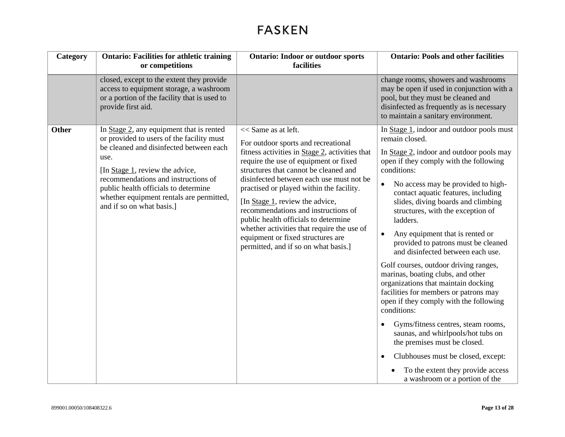| Category | <b>Ontario: Facilities for athletic training</b><br>or competitions                                                                                                                                                                                                                                                                 | <b>Ontario:</b> Indoor or outdoor sports<br>facilities                                                                                                                                                                                                                                                                                                                                                                                                                                                                              | <b>Ontario: Pools and other facilities</b>                                                                                                                                                                                                                                                                                                                                                                                                                                                                                                                                                                                                                                                                                                                                                                                                                                                                                                 |
|----------|-------------------------------------------------------------------------------------------------------------------------------------------------------------------------------------------------------------------------------------------------------------------------------------------------------------------------------------|-------------------------------------------------------------------------------------------------------------------------------------------------------------------------------------------------------------------------------------------------------------------------------------------------------------------------------------------------------------------------------------------------------------------------------------------------------------------------------------------------------------------------------------|--------------------------------------------------------------------------------------------------------------------------------------------------------------------------------------------------------------------------------------------------------------------------------------------------------------------------------------------------------------------------------------------------------------------------------------------------------------------------------------------------------------------------------------------------------------------------------------------------------------------------------------------------------------------------------------------------------------------------------------------------------------------------------------------------------------------------------------------------------------------------------------------------------------------------------------------|
|          | closed, except to the extent they provide<br>access to equipment storage, a washroom<br>or a portion of the facility that is used to<br>provide first aid.                                                                                                                                                                          |                                                                                                                                                                                                                                                                                                                                                                                                                                                                                                                                     | change rooms, showers and washrooms<br>may be open if used in conjunction with a<br>pool, but they must be cleaned and<br>disinfected as frequently as is necessary<br>to maintain a sanitary environment.                                                                                                                                                                                                                                                                                                                                                                                                                                                                                                                                                                                                                                                                                                                                 |
| Other    | In Stage 2, any equipment that is rented<br>or provided to users of the facility must<br>be cleaned and disinfected between each<br>use.<br>[In Stage 1, review the advice,<br>recommendations and instructions of<br>public health officials to determine<br>whether equipment rentals are permitted,<br>and if so on what basis.] | << Same as at left.<br>For outdoor sports and recreational<br>fitness activities in Stage 2, activities that<br>require the use of equipment or fixed<br>structures that cannot be cleaned and<br>disinfected between each use must not be<br>practised or played within the facility.<br>[In Stage 1, review the advice,<br>recommendations and instructions of<br>public health officials to determine<br>whether activities that require the use of<br>equipment or fixed structures are<br>permitted, and if so on what basis.] | In Stage 1, indoor and outdoor pools must<br>remain closed.<br>In Stage 2, indoor and outdoor pools may<br>open if they comply with the following<br>conditions:<br>No access may be provided to high-<br>contact aquatic features, including<br>slides, diving boards and climbing<br>structures, with the exception of<br>ladders.<br>Any equipment that is rented or<br>$\bullet$<br>provided to patrons must be cleaned<br>and disinfected between each use.<br>Golf courses, outdoor driving ranges,<br>marinas, boating clubs, and other<br>organizations that maintain docking<br>facilities for members or patrons may<br>open if they comply with the following<br>conditions:<br>Gyms/fitness centres, steam rooms,<br>$\bullet$<br>saunas, and whirlpools/hot tubs on<br>the premises must be closed.<br>Clubhouses must be closed, except:<br>$\bullet$<br>To the extent they provide access<br>a washroom or a portion of the |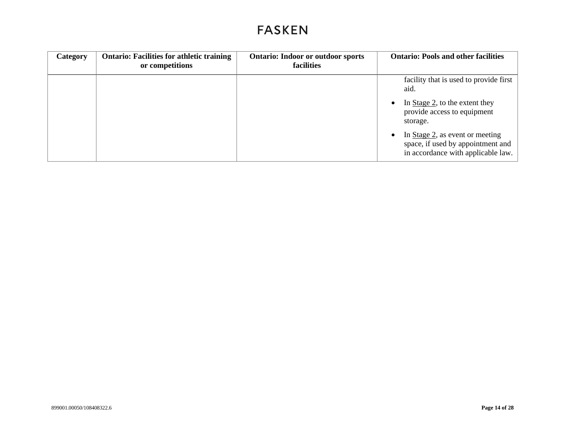| <b>Category</b> | <b>Ontario: Facilities for athletic training</b><br>or competitions | <b>Ontario: Indoor or outdoor sports</b><br><b>facilities</b> | <b>Ontario: Pools and other facilities</b>                                                                         |
|-----------------|---------------------------------------------------------------------|---------------------------------------------------------------|--------------------------------------------------------------------------------------------------------------------|
|                 |                                                                     |                                                               | facility that is used to provide first<br>aid.                                                                     |
|                 |                                                                     |                                                               | In $Stage\ 2$ , to the extent they<br>provide access to equipment<br>storage.                                      |
|                 |                                                                     |                                                               | In <u>Stage 2</u> , as event or meeting<br>space, if used by appointment and<br>in accordance with applicable law. |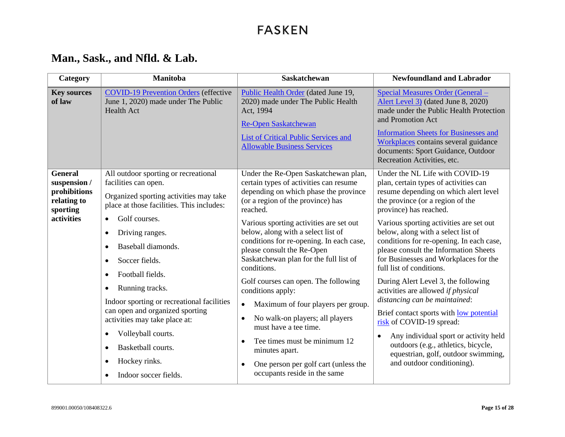#### **Man., Sask., and Nfld. & Lab.**

<span id="page-14-0"></span>

| Category                                                                                | <b>Manitoba</b>                                                                                                                                                                                                                                                                                                                                                                                                                                                                                                                                                                                          | <b>Saskatchewan</b>                                                                                                                                                                                                                                                                                                                                                                                                                                                                                                                                                                                                                                                                                                          | <b>Newfoundland and Labrador</b>                                                                                                                                                                                                                                                                                                                                                                                                                                                                                                                                                                                                                                                                                                                                                         |
|-----------------------------------------------------------------------------------------|----------------------------------------------------------------------------------------------------------------------------------------------------------------------------------------------------------------------------------------------------------------------------------------------------------------------------------------------------------------------------------------------------------------------------------------------------------------------------------------------------------------------------------------------------------------------------------------------------------|------------------------------------------------------------------------------------------------------------------------------------------------------------------------------------------------------------------------------------------------------------------------------------------------------------------------------------------------------------------------------------------------------------------------------------------------------------------------------------------------------------------------------------------------------------------------------------------------------------------------------------------------------------------------------------------------------------------------------|------------------------------------------------------------------------------------------------------------------------------------------------------------------------------------------------------------------------------------------------------------------------------------------------------------------------------------------------------------------------------------------------------------------------------------------------------------------------------------------------------------------------------------------------------------------------------------------------------------------------------------------------------------------------------------------------------------------------------------------------------------------------------------------|
| <b>Key sources</b><br>of law                                                            | <b>COVID-19 Prevention Orders (effective</b><br>June 1, 2020) made under The Public<br><b>Health Act</b>                                                                                                                                                                                                                                                                                                                                                                                                                                                                                                 | Public Health Order (dated June 19,<br>2020) made under The Public Health<br>Act, 1994<br><b>Re-Open Saskatchewan</b><br><b>List of Critical Public Services and</b><br><b>Allowable Business Services</b>                                                                                                                                                                                                                                                                                                                                                                                                                                                                                                                   | Special Measures Order (General -<br>Alert Level 3) (dated June 8, 2020)<br>made under the Public Health Protection<br>and Promotion Act<br><b>Information Sheets for Businesses and</b><br>Workplaces contains several guidance<br>documents: Sport Guidance, Outdoor<br>Recreation Activities, etc.                                                                                                                                                                                                                                                                                                                                                                                                                                                                                    |
| <b>General</b><br>suspension /<br>prohibitions<br>relating to<br>sporting<br>activities | All outdoor sporting or recreational<br>facilities can open.<br>Organized sporting activities may take<br>place at those facilities. This includes:<br>Golf courses.<br>$\bullet$<br>Driving ranges.<br>$\bullet$<br>Baseball diamonds.<br>$\bullet$<br>Soccer fields.<br>$\bullet$<br>Football fields.<br>$\bullet$<br>Running tracks.<br>$\bullet$<br>Indoor sporting or recreational facilities<br>can open and organized sporting<br>activities may take place at:<br>Volleyball courts.<br>٠<br>Basketball courts.<br>$\bullet$<br>Hockey rinks.<br>$\bullet$<br>Indoor soccer fields.<br>$\bullet$ | Under the Re-Open Saskatchewan plan,<br>certain types of activities can resume<br>depending on which phase the province<br>(or a region of the province) has<br>reached.<br>Various sporting activities are set out<br>below, along with a select list of<br>conditions for re-opening. In each case,<br>please consult the Re-Open<br>Saskatchewan plan for the full list of<br>conditions.<br>Golf courses can open. The following<br>conditions apply:<br>Maximum of four players per group.<br>$\bullet$<br>No walk-on players; all players<br>must have a tee time.<br>Tee times must be minimum 12<br>$\bullet$<br>minutes apart.<br>One person per golf cart (unless the<br>$\bullet$<br>occupants reside in the same | Under the NL Life with COVID-19<br>plan, certain types of activities can<br>resume depending on which alert level<br>the province (or a region of the<br>province) has reached.<br>Various sporting activities are set out<br>below, along with a select list of<br>conditions for re-opening. In each case,<br>please consult the Information Sheets<br>for Businesses and Workplaces for the<br>full list of conditions.<br>During Alert Level 3, the following<br>activities are allowed if physical<br>distancing can be maintained:<br>Brief contact sports with <u>low potential</u><br>risk of COVID-19 spread:<br>Any individual sport or activity held<br>$\bullet$<br>outdoors (e.g., athletics, bicycle,<br>equestrian, golf, outdoor swimming,<br>and outdoor conditioning). |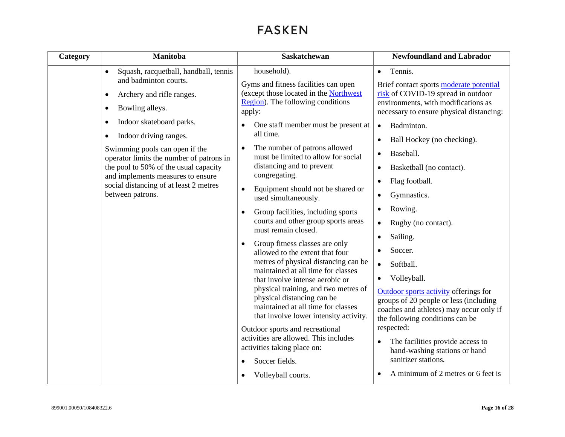| Category | Manitoba                                                                                                                                                                                                                                                                                                                                                                                                                                                | <b>Saskatchewan</b>                                                                                                                                                                                                                                                                                                                                                                                                                                                                                                                                                                                                                                                   | <b>Newfoundland and Labrador</b>                                                                                                                                                                                                                                                                                                                                                                                                                                                                                       |
|----------|---------------------------------------------------------------------------------------------------------------------------------------------------------------------------------------------------------------------------------------------------------------------------------------------------------------------------------------------------------------------------------------------------------------------------------------------------------|-----------------------------------------------------------------------------------------------------------------------------------------------------------------------------------------------------------------------------------------------------------------------------------------------------------------------------------------------------------------------------------------------------------------------------------------------------------------------------------------------------------------------------------------------------------------------------------------------------------------------------------------------------------------------|------------------------------------------------------------------------------------------------------------------------------------------------------------------------------------------------------------------------------------------------------------------------------------------------------------------------------------------------------------------------------------------------------------------------------------------------------------------------------------------------------------------------|
|          | Squash, racquetball, handball, tennis<br>$\bullet$<br>and badminton courts.<br>Archery and rifle ranges.<br>$\bullet$<br>Bowling alleys.<br>$\bullet$<br>Indoor skateboard parks.<br>$\bullet$<br>Indoor driving ranges.<br>٠<br>Swimming pools can open if the<br>operator limits the number of patrons in<br>the pool to 50% of the usual capacity<br>and implements measures to ensure<br>social distancing of at least 2 metres<br>between patrons. | household).<br>Gyms and fitness facilities can open<br>(except those located in the Northwest<br>Region). The following conditions<br>apply:<br>One staff member must be present at<br>$\bullet$<br>all time.<br>The number of patrons allowed<br>$\bullet$<br>must be limited to allow for social<br>distancing and to prevent<br>congregating.<br>Equipment should not be shared or<br>$\bullet$<br>used simultaneously.<br>Group facilities, including sports<br>$\bullet$<br>courts and other group sports areas<br>must remain closed.<br>Group fitness classes are only<br>$\bullet$<br>allowed to the extent that four<br>metres of physical distancing can be | Tennis.<br>$\bullet$<br>Brief contact sports moderate potential<br>risk of COVID-19 spread in outdoor<br>environments, with modifications as<br>necessary to ensure physical distancing:<br>Badminton.<br>$\bullet$<br>Ball Hockey (no checking).<br>$\bullet$<br>Baseball.<br>$\bullet$<br>Basketball (no contact).<br>Flag football.<br>$\bullet$<br>Gymnastics.<br>$\bullet$<br>Rowing.<br>$\bullet$<br>Rugby (no contact).<br>$\bullet$<br>Sailing.<br>$\bullet$<br>Soccer.<br>$\bullet$<br>Softball.<br>$\bullet$ |
|          |                                                                                                                                                                                                                                                                                                                                                                                                                                                         | maintained at all time for classes<br>that involve intense aerobic or<br>physical training, and two metres of<br>physical distancing can be<br>maintained at all time for classes<br>that involve lower intensity activity.<br>Outdoor sports and recreational<br>activities are allowed. This includes<br>activities taking place on:<br>Soccer fields.<br>$\bullet$<br>Volleyball courts.<br>$\bullet$                                                                                                                                                                                                                                                              | Volleyball.<br>$\bullet$<br>Outdoor sports activity offerings for<br>groups of 20 people or less (including<br>coaches and athletes) may occur only if<br>the following conditions can be<br>respected:<br>The facilities provide access to<br>hand-washing stations or hand<br>sanitizer stations.<br>A minimum of 2 metres or 6 feet is<br>$\bullet$                                                                                                                                                                 |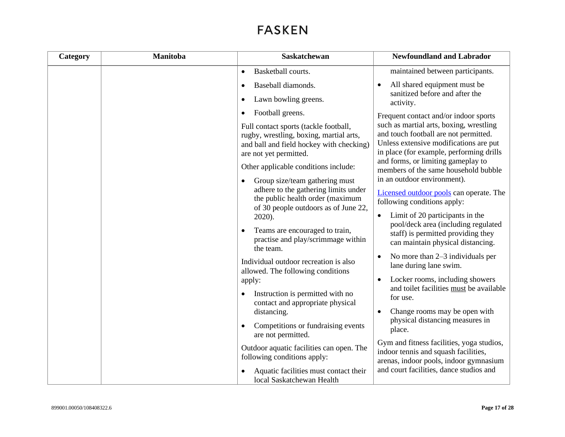| Category | <b>Manitoba</b> | <b>Saskatchewan</b>                                                                                                                                                                                                              | <b>Newfoundland and Labrador</b>                                                                                                                                                                                                                                                    |
|----------|-----------------|----------------------------------------------------------------------------------------------------------------------------------------------------------------------------------------------------------------------------------|-------------------------------------------------------------------------------------------------------------------------------------------------------------------------------------------------------------------------------------------------------------------------------------|
|          |                 | Basketball courts.<br>$\bullet$                                                                                                                                                                                                  | maintained between participants.                                                                                                                                                                                                                                                    |
|          |                 | Baseball diamonds.<br>$\bullet$                                                                                                                                                                                                  | All shared equipment must be                                                                                                                                                                                                                                                        |
|          |                 | Lawn bowling greens.<br>$\bullet$                                                                                                                                                                                                | sanitized before and after the<br>activity.                                                                                                                                                                                                                                         |
|          |                 | Football greens.<br>$\bullet$                                                                                                                                                                                                    | Frequent contact and/or indoor sports                                                                                                                                                                                                                                               |
|          |                 | Full contact sports (tackle football,<br>rugby, wrestling, boxing, martial arts,<br>and ball and field hockey with checking)<br>are not yet permitted.<br>Other applicable conditions include:<br>Group size/team gathering must | such as martial arts, boxing, wrestling<br>and touch football are not permitted.<br>Unless extensive modifications are put<br>in place (for example, performing drills<br>and forms, or limiting gameplay to<br>members of the same household bubble<br>in an outdoor environment). |
|          |                 | adhere to the gathering limits under<br>the public health order (maximum<br>of 30 people outdoors as of June 22,                                                                                                                 | Licensed outdoor pools can operate. The<br>following conditions apply:                                                                                                                                                                                                              |
|          |                 | 2020).<br>Teams are encouraged to train,<br>$\bullet$<br>practise and play/scrimmage within<br>the team.                                                                                                                         | Limit of 20 participants in the<br>pool/deck area (including regulated<br>staff) is permitted providing they<br>can maintain physical distancing.                                                                                                                                   |
|          |                 | Individual outdoor recreation is also<br>allowed. The following conditions                                                                                                                                                       | No more than $2-3$ individuals per<br>$\bullet$<br>lane during lane swim.                                                                                                                                                                                                           |
|          |                 | apply:<br>Instruction is permitted with no<br>$\bullet$                                                                                                                                                                          | Locker rooms, including showers<br>and toilet facilities must be available                                                                                                                                                                                                          |
|          |                 | contact and appropriate physical                                                                                                                                                                                                 | for use.                                                                                                                                                                                                                                                                            |
|          |                 | distancing.                                                                                                                                                                                                                      | Change rooms may be open with<br>physical distancing measures in                                                                                                                                                                                                                    |
|          |                 | Competitions or fundraising events<br>$\bullet$<br>are not permitted.                                                                                                                                                            | place.                                                                                                                                                                                                                                                                              |
|          |                 | Outdoor aquatic facilities can open. The<br>following conditions apply:                                                                                                                                                          | Gym and fitness facilities, yoga studios,<br>indoor tennis and squash facilities,<br>arenas, indoor pools, indoor gymnasium                                                                                                                                                         |
|          |                 | Aquatic facilities must contact their<br>local Saskatchewan Health                                                                                                                                                               | and court facilities, dance studios and                                                                                                                                                                                                                                             |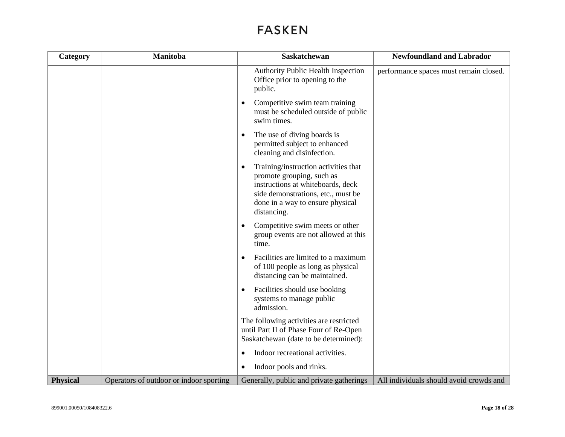| Category        | <b>Manitoba</b>                         | <b>Saskatchewan</b>                                                                                                                                                                                          | <b>Newfoundland and Labrador</b>        |
|-----------------|-----------------------------------------|--------------------------------------------------------------------------------------------------------------------------------------------------------------------------------------------------------------|-----------------------------------------|
|                 |                                         | <b>Authority Public Health Inspection</b><br>Office prior to opening to the<br>public.                                                                                                                       | performance spaces must remain closed.  |
|                 |                                         | Competitive swim team training<br>$\bullet$<br>must be scheduled outside of public<br>swim times.                                                                                                            |                                         |
|                 |                                         | The use of diving boards is<br>$\bullet$<br>permitted subject to enhanced<br>cleaning and disinfection.                                                                                                      |                                         |
|                 |                                         | Training/instruction activities that<br>$\bullet$<br>promote grouping, such as<br>instructions at whiteboards, deck<br>side demonstrations, etc., must be<br>done in a way to ensure physical<br>distancing. |                                         |
|                 |                                         | Competitive swim meets or other<br>$\bullet$<br>group events are not allowed at this<br>time.                                                                                                                |                                         |
|                 |                                         | Facilities are limited to a maximum<br>$\bullet$<br>of 100 people as long as physical<br>distancing can be maintained.                                                                                       |                                         |
|                 |                                         | Facilities should use booking<br>$\bullet$<br>systems to manage public<br>admission.                                                                                                                         |                                         |
|                 |                                         | The following activities are restricted<br>until Part II of Phase Four of Re-Open<br>Saskatchewan (date to be determined):                                                                                   |                                         |
|                 |                                         | Indoor recreational activities.<br>$\bullet$                                                                                                                                                                 |                                         |
|                 |                                         | Indoor pools and rinks.<br>$\bullet$                                                                                                                                                                         |                                         |
| <b>Physical</b> | Operators of outdoor or indoor sporting | Generally, public and private gatherings                                                                                                                                                                     | All individuals should avoid crowds and |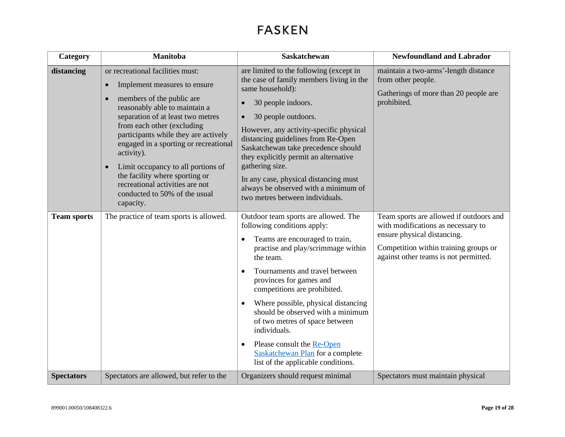| Category           | <b>Manitoba</b>                                                                                                                                                                                                                                                                                                                                                                                                                                                                                  | <b>Saskatchewan</b>                                                                                                                                                                                                                                                                                                                                                                                                                                                                                                                             | <b>Newfoundland and Labrador</b>                                                                                                                                                               |
|--------------------|--------------------------------------------------------------------------------------------------------------------------------------------------------------------------------------------------------------------------------------------------------------------------------------------------------------------------------------------------------------------------------------------------------------------------------------------------------------------------------------------------|-------------------------------------------------------------------------------------------------------------------------------------------------------------------------------------------------------------------------------------------------------------------------------------------------------------------------------------------------------------------------------------------------------------------------------------------------------------------------------------------------------------------------------------------------|------------------------------------------------------------------------------------------------------------------------------------------------------------------------------------------------|
| distancing         | or recreational facilities must:<br>Implement measures to ensure<br>$\bullet$<br>members of the public are<br>$\bullet$<br>reasonably able to maintain a<br>separation of at least two metres<br>from each other (excluding<br>participants while they are actively<br>engaged in a sporting or recreational<br>activity).<br>Limit occupancy to all portions of<br>$\bullet$<br>the facility where sporting or<br>recreational activities are not<br>conducted to 50% of the usual<br>capacity. | are limited to the following (except in<br>the case of family members living in the<br>same household):<br>30 people indoors.<br>$\bullet$<br>30 people outdoors.<br>$\bullet$<br>However, any activity-specific physical<br>distancing guidelines from Re-Open<br>Saskatchewan take precedence should<br>they explicitly permit an alternative<br>gathering size.<br>In any case, physical distancing must<br>always be observed with a minimum of<br>two metres between individuals.                                                          | maintain a two-arms'-length distance<br>from other people.<br>Gatherings of more than 20 people are<br>prohibited.                                                                             |
| <b>Team sports</b> | The practice of team sports is allowed.                                                                                                                                                                                                                                                                                                                                                                                                                                                          | Outdoor team sports are allowed. The<br>following conditions apply:<br>Teams are encouraged to train,<br>$\bullet$<br>practise and play/scrimmage within<br>the team.<br>Tournaments and travel between<br>$\bullet$<br>provinces for games and<br>competitions are prohibited.<br>Where possible, physical distancing<br>$\bullet$<br>should be observed with a minimum<br>of two metres of space between<br>individuals.<br>Please consult the Re-Open<br>$\bullet$<br>Saskatchewan Plan for a complete<br>list of the applicable conditions. | Team sports are allowed if outdoors and<br>with modifications as necessary to<br>ensure physical distancing.<br>Competition within training groups or<br>against other teams is not permitted. |
| <b>Spectators</b>  | Spectators are allowed, but refer to the                                                                                                                                                                                                                                                                                                                                                                                                                                                         | Organizers should request minimal                                                                                                                                                                                                                                                                                                                                                                                                                                                                                                               | Spectators must maintain physical                                                                                                                                                              |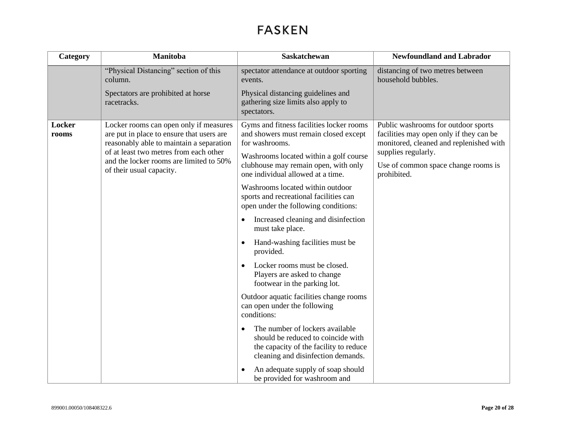| Category               | Manitoba                                                                                                                                                                                                                                         | <b>Saskatchewan</b>                                                                                                                                                                                                                                                                                                                                                                                                                                                                                                                                                                                                                                                                                                                                                                                                                                                                                                 | <b>Newfoundland and Labrador</b>                                                                                                                                                                       |
|------------------------|--------------------------------------------------------------------------------------------------------------------------------------------------------------------------------------------------------------------------------------------------|---------------------------------------------------------------------------------------------------------------------------------------------------------------------------------------------------------------------------------------------------------------------------------------------------------------------------------------------------------------------------------------------------------------------------------------------------------------------------------------------------------------------------------------------------------------------------------------------------------------------------------------------------------------------------------------------------------------------------------------------------------------------------------------------------------------------------------------------------------------------------------------------------------------------|--------------------------------------------------------------------------------------------------------------------------------------------------------------------------------------------------------|
|                        | "Physical Distancing" section of this<br>column.                                                                                                                                                                                                 | spectator attendance at outdoor sporting<br>events.                                                                                                                                                                                                                                                                                                                                                                                                                                                                                                                                                                                                                                                                                                                                                                                                                                                                 | distancing of two metres between<br>household bubbles.                                                                                                                                                 |
|                        | Spectators are prohibited at horse<br>racetracks.                                                                                                                                                                                                | Physical distancing guidelines and<br>gathering size limits also apply to<br>spectators.                                                                                                                                                                                                                                                                                                                                                                                                                                                                                                                                                                                                                                                                                                                                                                                                                            |                                                                                                                                                                                                        |
| <b>Locker</b><br>rooms | Locker rooms can open only if measures<br>are put in place to ensure that users are<br>reasonably able to maintain a separation<br>of at least two metres from each other<br>and the locker rooms are limited to 50%<br>of their usual capacity. | Gyms and fitness facilities locker rooms<br>and showers must remain closed except<br>for washrooms.<br>Washrooms located within a golf course<br>clubhouse may remain open, with only<br>one individual allowed at a time.<br>Washrooms located within outdoor<br>sports and recreational facilities can<br>open under the following conditions:<br>Increased cleaning and disinfection<br>$\bullet$<br>must take place.<br>Hand-washing facilities must be<br>$\bullet$<br>provided.<br>Locker rooms must be closed.<br>$\bullet$<br>Players are asked to change<br>footwear in the parking lot.<br>Outdoor aquatic facilities change rooms<br>can open under the following<br>conditions:<br>The number of lockers available<br>$\bullet$<br>should be reduced to coincide with<br>the capacity of the facility to reduce<br>cleaning and disinfection demands.<br>An adequate supply of soap should<br>$\bullet$ | Public washrooms for outdoor sports<br>facilities may open only if they can be<br>monitored, cleaned and replenished with<br>supplies regularly.<br>Use of common space change rooms is<br>prohibited. |
|                        |                                                                                                                                                                                                                                                  | be provided for washroom and                                                                                                                                                                                                                                                                                                                                                                                                                                                                                                                                                                                                                                                                                                                                                                                                                                                                                        |                                                                                                                                                                                                        |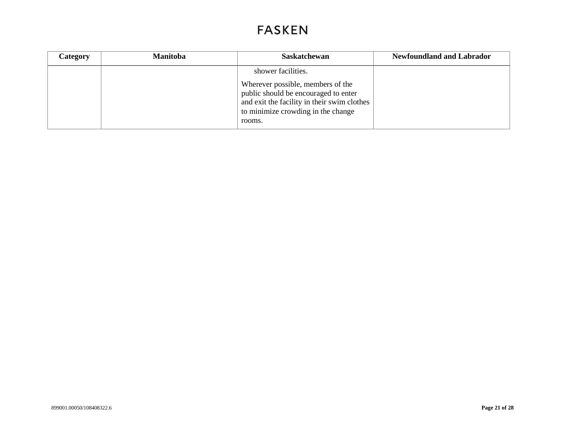| Category | <b>Manitoba</b> | <b>Saskatchewan</b>                                                                                                                                                      | <b>Newfoundland and Labrador</b> |
|----------|-----------------|--------------------------------------------------------------------------------------------------------------------------------------------------------------------------|----------------------------------|
|          |                 | shower facilities.                                                                                                                                                       |                                  |
|          |                 | Wherever possible, members of the<br>public should be encouraged to enter<br>and exit the facility in their swim clothes<br>to minimize crowding in the change<br>rooms. |                                  |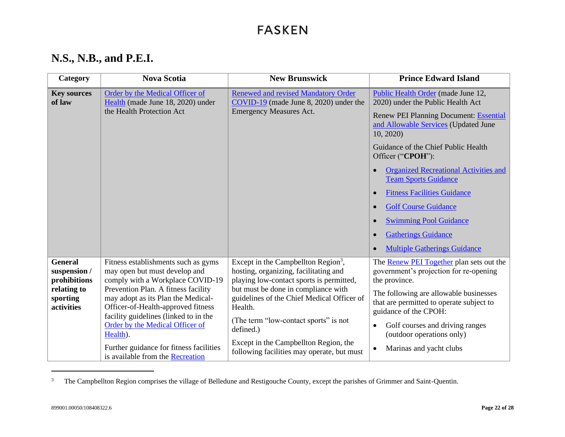#### **N.S., N.B., and P.E.I.**

<span id="page-21-0"></span>

| Category                                                                                | <b>Nova Scotia</b>                                                                                                                                                                                                                                                                                                                                                                                 | <b>New Brunswick</b>                                                                                                                                                                                                                                                                                                                                                              | <b>Prince Edward Island</b>                                                                                                                                                                                                                                                                                                                                                                                                                                                                        |
|-----------------------------------------------------------------------------------------|----------------------------------------------------------------------------------------------------------------------------------------------------------------------------------------------------------------------------------------------------------------------------------------------------------------------------------------------------------------------------------------------------|-----------------------------------------------------------------------------------------------------------------------------------------------------------------------------------------------------------------------------------------------------------------------------------------------------------------------------------------------------------------------------------|----------------------------------------------------------------------------------------------------------------------------------------------------------------------------------------------------------------------------------------------------------------------------------------------------------------------------------------------------------------------------------------------------------------------------------------------------------------------------------------------------|
| <b>Key sources</b><br>of law                                                            | Order by the Medical Officer of<br>Health (made June 18, 2020) under<br>the Health Protection Act                                                                                                                                                                                                                                                                                                  | <b>Renewed and revised Mandatory Order</b><br>$\overline{\text{COVID-19}}$ (made June 8, 2020) under the<br><b>Emergency Measures Act.</b>                                                                                                                                                                                                                                        | Public Health Order (made June 12,<br>2020) under the Public Health Act<br><b>Renew PEI Planning Document: Essential</b><br>and Allowable Services (Updated June<br>10, 2020<br>Guidance of the Chief Public Health<br>Officer ("CPOH"):<br><b>Organized Recreational Activities and</b><br><b>Team Sports Guidance</b><br><b>Fitness Facilities Guidance</b><br><b>Golf Course Guidance</b><br><b>Swimming Pool Guidance</b><br><b>Gatherings Guidance</b><br><b>Multiple Gatherings Guidance</b> |
| <b>General</b><br>suspension /<br>prohibitions<br>relating to<br>sporting<br>activities | Fitness establishments such as gyms<br>may open but must develop and<br>comply with a Workplace COVID-19<br>Prevention Plan. A fitness facility<br>may adopt as its Plan the Medical-<br>Officer-of-Health-approved fitness<br>facility guidelines (linked to in the<br>Order by the Medical Officer of<br>Health).<br>Further guidance for fitness facilities<br>is available from the Recreation | Except in the Campbellton Region <sup>3</sup> ,<br>hosting, organizing, facilitating and<br>playing low-contact sports is permitted,<br>but must be done in compliance with<br>guidelines of the Chief Medical Officer of<br>Health.<br>(The term "low-contact sports" is not<br>defined.)<br>Except in the Campbellton Region, the<br>following facilities may operate, but must | The <b>Renew PEI</b> Together plan sets out the<br>government's projection for re-opening<br>the province.<br>The following are allowable businesses<br>that are permitted to operate subject to<br>guidance of the CPOH:<br>Golf courses and driving ranges<br>(outdoor operations only)<br>Marinas and yacht clubs                                                                                                                                                                               |

<sup>&</sup>lt;sup>3</sup> The Campbellton Region comprises the village of Belledune and Restigouche County, except the parishes of Grimmer and Saint-Quentin.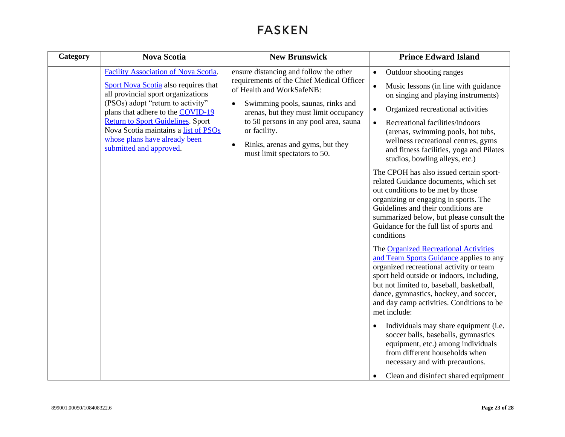| Category | <b>Nova Scotia</b>                                                                                                                                                                                                                                                                                                                           | <b>New Brunswick</b>                                                                                                                                                                                                                                                                                                                                  | <b>Prince Edward Island</b>                                                                                                                                                                                                                                                                                                                                                                                                                                                                                                                                                                                                                                                                                                                                                                                                                                                                                                                                                                                                                                                                                                                                                                          |
|----------|----------------------------------------------------------------------------------------------------------------------------------------------------------------------------------------------------------------------------------------------------------------------------------------------------------------------------------------------|-------------------------------------------------------------------------------------------------------------------------------------------------------------------------------------------------------------------------------------------------------------------------------------------------------------------------------------------------------|------------------------------------------------------------------------------------------------------------------------------------------------------------------------------------------------------------------------------------------------------------------------------------------------------------------------------------------------------------------------------------------------------------------------------------------------------------------------------------------------------------------------------------------------------------------------------------------------------------------------------------------------------------------------------------------------------------------------------------------------------------------------------------------------------------------------------------------------------------------------------------------------------------------------------------------------------------------------------------------------------------------------------------------------------------------------------------------------------------------------------------------------------------------------------------------------------|
|          | Facility Association of Nova Scotia.<br>Sport Nova Scotia also requires that<br>all provincial sport organizations<br>(PSOs) adopt "return to activity"<br>plans that adhere to the COVID-19<br><b>Return to Sport Guidelines. Sport</b><br>Nova Scotia maintains a list of PSOs<br>whose plans have already been<br>submitted and approved. | ensure distancing and follow the other<br>requirements of the Chief Medical Officer<br>of Health and WorkSafeNB:<br>Swimming pools, saunas, rinks and<br>$\bullet$<br>arenas, but they must limit occupancy<br>to 50 persons in any pool area, sauna<br>or facility.<br>Rinks, arenas and gyms, but they<br>$\bullet$<br>must limit spectators to 50. | Outdoor shooting ranges<br>$\bullet$<br>Music lessons (in line with guidance<br>$\bullet$<br>on singing and playing instruments)<br>Organized recreational activities<br>$\bullet$<br>Recreational facilities/indoors<br>$\bullet$<br>(arenas, swimming pools, hot tubs,<br>wellness recreational centres, gyms<br>and fitness facilities, yoga and Pilates<br>studios, bowling alleys, etc.)<br>The CPOH has also issued certain sport-<br>related Guidance documents, which set<br>out conditions to be met by those<br>organizing or engaging in sports. The<br>Guidelines and their conditions are<br>summarized below, but please consult the<br>Guidance for the full list of sports and<br>conditions<br>The Organized Recreational Activities<br>and Team Sports Guidance applies to any<br>organized recreational activity or team<br>sport held outside or indoors, including,<br>but not limited to, baseball, basketball,<br>dance, gymnastics, hockey, and soccer,<br>and day camp activities. Conditions to be<br>met include:<br>Individuals may share equipment (i.e.<br>soccer balls, baseballs, gymnastics<br>equipment, etc.) among individuals<br>from different households when |
|          |                                                                                                                                                                                                                                                                                                                                              |                                                                                                                                                                                                                                                                                                                                                       | necessary and with precautions.<br>Clean and disinfect shared equipment<br>$\bullet$                                                                                                                                                                                                                                                                                                                                                                                                                                                                                                                                                                                                                                                                                                                                                                                                                                                                                                                                                                                                                                                                                                                 |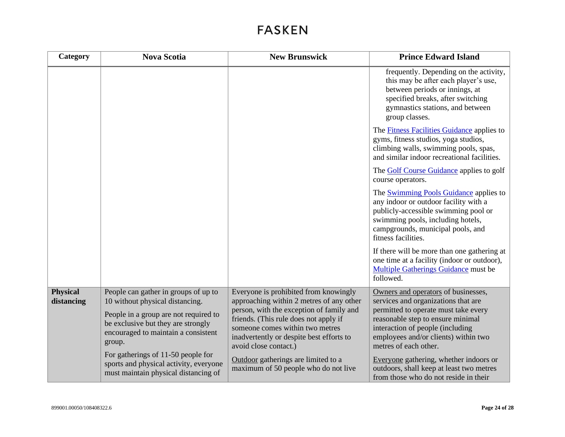| Category                      | <b>Nova Scotia</b>                                                                                                           | <b>New Brunswick</b>                                                                                                                                                                      | <b>Prince Edward Island</b>                                                                                                                                                                                                     |
|-------------------------------|------------------------------------------------------------------------------------------------------------------------------|-------------------------------------------------------------------------------------------------------------------------------------------------------------------------------------------|---------------------------------------------------------------------------------------------------------------------------------------------------------------------------------------------------------------------------------|
|                               |                                                                                                                              |                                                                                                                                                                                           | frequently. Depending on the activity,<br>this may be after each player's use,<br>between periods or innings, at<br>specified breaks, after switching<br>gymnastics stations, and between<br>group classes.                     |
|                               |                                                                                                                              |                                                                                                                                                                                           | The Fitness Facilities Guidance applies to<br>gyms, fitness studios, yoga studios,<br>climbing walls, swimming pools, spas,<br>and similar indoor recreational facilities.                                                      |
|                               |                                                                                                                              |                                                                                                                                                                                           | The Golf Course Guidance applies to golf<br>course operators.                                                                                                                                                                   |
|                               |                                                                                                                              |                                                                                                                                                                                           | The <b>Swimming Pools Guidance</b> applies to<br>any indoor or outdoor facility with a<br>publicly-accessible swimming pool or<br>swimming pools, including hotels,<br>campgrounds, municipal pools, and<br>fitness facilities. |
|                               |                                                                                                                              |                                                                                                                                                                                           | If there will be more than one gathering at<br>one time at a facility (indoor or outdoor),<br>Multiple Gatherings Guidance must be<br>followed.                                                                                 |
| <b>Physical</b><br>distancing | People can gather in groups of up to<br>10 without physical distancing.                                                      | Everyone is prohibited from knowingly<br>approaching within 2 metres of any other                                                                                                         | Owners and operators of businesses,<br>services and organizations that are                                                                                                                                                      |
|                               | People in a group are not required to<br>be exclusive but they are strongly<br>encouraged to maintain a consistent<br>group. | person, with the exception of family and<br>friends. (This rule does not apply if<br>someone comes within two metres<br>inadvertently or despite best efforts to<br>avoid close contact.) | permitted to operate must take every<br>reasonable step to ensure minimal<br>interaction of people (including<br>employees and/or clients) within two<br>metres of each other.                                                  |
|                               | For gatherings of 11-50 people for<br>sports and physical activity, everyone<br>must maintain physical distancing of         | Outdoor gatherings are limited to a<br>maximum of 50 people who do not live                                                                                                               | Everyone gathering, whether indoors or<br>outdoors, shall keep at least two metres<br>from those who do not reside in their                                                                                                     |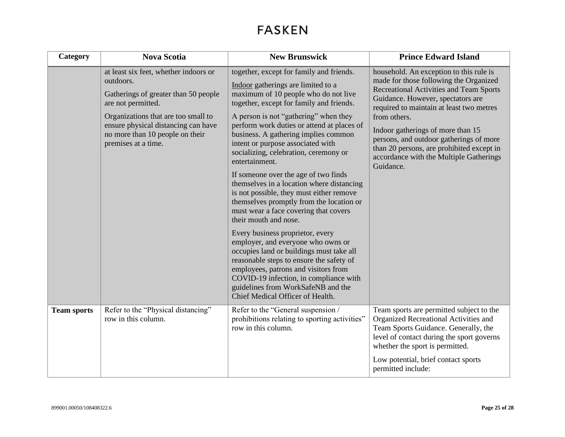| Category           | <b>Nova Scotia</b>                                                                                                                                                                                                                                       | <b>New Brunswick</b>                                                                                                                                                                                                                                                                                                                                                                                                                                                                                                                                                                                                                             | <b>Prince Edward Island</b>                                                                                                                                                                                                                                                                                                                                                                                        |
|--------------------|----------------------------------------------------------------------------------------------------------------------------------------------------------------------------------------------------------------------------------------------------------|--------------------------------------------------------------------------------------------------------------------------------------------------------------------------------------------------------------------------------------------------------------------------------------------------------------------------------------------------------------------------------------------------------------------------------------------------------------------------------------------------------------------------------------------------------------------------------------------------------------------------------------------------|--------------------------------------------------------------------------------------------------------------------------------------------------------------------------------------------------------------------------------------------------------------------------------------------------------------------------------------------------------------------------------------------------------------------|
|                    | at least six feet, whether indoors or<br>outdoors.<br>Gatherings of greater than 50 people<br>are not permitted.<br>Organizations that are too small to<br>ensure physical distancing can have<br>no more than 10 people on their<br>premises at a time. | together, except for family and friends.<br>Indoor gatherings are limited to a<br>maximum of 10 people who do not live<br>together, except for family and friends.<br>A person is not "gathering" when they<br>perform work duties or attend at places of<br>business. A gathering implies common<br>intent or purpose associated with<br>socializing, celebration, ceremony or<br>entertainment.<br>If someone over the age of two finds<br>themselves in a location where distancing<br>is not possible, they must either remove<br>themselves promptly from the location or<br>must wear a face covering that covers<br>their mouth and nose. | household. An exception to this rule is<br>made for those following the Organized<br>Recreational Activities and Team Sports<br>Guidance. However, spectators are<br>required to maintain at least two metres<br>from others.<br>Indoor gatherings of more than 15<br>persons, and outdoor gatherings of more<br>than 20 persons, are prohibited except in<br>accordance with the Multiple Gatherings<br>Guidance. |
|                    |                                                                                                                                                                                                                                                          | Every business proprietor, every<br>employer, and everyone who owns or<br>occupies land or buildings must take all<br>reasonable steps to ensure the safety of<br>employees, patrons and visitors from<br>COVID-19 infection, in compliance with<br>guidelines from WorkSafeNB and the<br>Chief Medical Officer of Health.                                                                                                                                                                                                                                                                                                                       |                                                                                                                                                                                                                                                                                                                                                                                                                    |
| <b>Team sports</b> | Refer to the "Physical distancing"<br>row in this column.                                                                                                                                                                                                | Refer to the "General suspension /<br>prohibitions relating to sporting activities"<br>row in this column.                                                                                                                                                                                                                                                                                                                                                                                                                                                                                                                                       | Team sports are permitted subject to the<br>Organized Recreational Activities and<br>Team Sports Guidance. Generally, the<br>level of contact during the sport governs<br>whether the sport is permitted.<br>Low potential, brief contact sports<br>permitted include:                                                                                                                                             |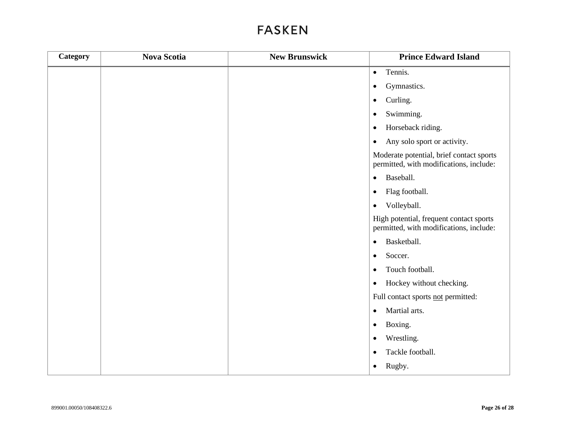| <b>Category</b> | <b>Nova Scotia</b> | <b>New Brunswick</b> | <b>Prince Edward Island</b>                                                         |
|-----------------|--------------------|----------------------|-------------------------------------------------------------------------------------|
|                 |                    |                      | Tennis.<br>$\bullet$                                                                |
|                 |                    |                      | Gymnastics.<br>$\bullet$                                                            |
|                 |                    |                      | Curling.<br>$\bullet$                                                               |
|                 |                    |                      | Swimming.<br>$\bullet$                                                              |
|                 |                    |                      | Horseback riding.<br>$\bullet$                                                      |
|                 |                    |                      | Any solo sport or activity.<br>$\bullet$                                            |
|                 |                    |                      | Moderate potential, brief contact sports<br>permitted, with modifications, include: |
|                 |                    |                      | Baseball.<br>$\bullet$                                                              |
|                 |                    |                      | Flag football.<br>$\bullet$                                                         |
|                 |                    |                      | Volleyball.<br>$\bullet$                                                            |
|                 |                    |                      | High potential, frequent contact sports<br>permitted, with modifications, include:  |
|                 |                    |                      | Basketball.<br>$\bullet$                                                            |
|                 |                    |                      | Soccer.<br>$\bullet$                                                                |
|                 |                    |                      | Touch football.<br>$\bullet$                                                        |
|                 |                    |                      | Hockey without checking.<br>$\bullet$                                               |
|                 |                    |                      | Full contact sports not permitted:                                                  |
|                 |                    |                      | Martial arts.<br>$\bullet$                                                          |
|                 |                    |                      | Boxing.<br>$\bullet$                                                                |
|                 |                    |                      | Wrestling.<br>$\bullet$                                                             |
|                 |                    |                      | Tackle football.<br>$\bullet$                                                       |
|                 |                    |                      | Rugby.<br>$\bullet$                                                                 |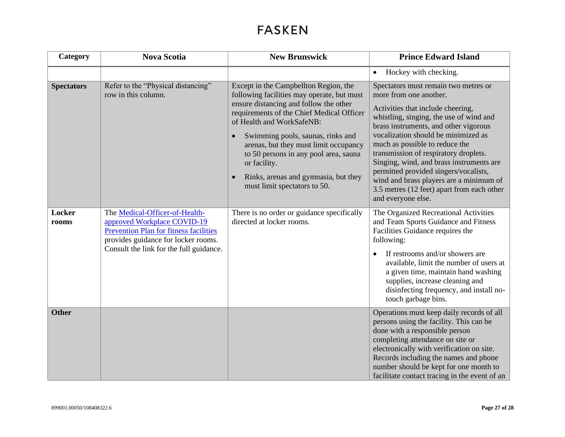| Category          | <b>Nova Scotia</b>                                                                                                                                                                               | <b>New Brunswick</b>                                                                                                                                                                                                                                                                                                                                                                                                   | <b>Prince Edward Island</b>                                                                                                                                                                                                                                                                                                                                                                                                                                                                                   |
|-------------------|--------------------------------------------------------------------------------------------------------------------------------------------------------------------------------------------------|------------------------------------------------------------------------------------------------------------------------------------------------------------------------------------------------------------------------------------------------------------------------------------------------------------------------------------------------------------------------------------------------------------------------|---------------------------------------------------------------------------------------------------------------------------------------------------------------------------------------------------------------------------------------------------------------------------------------------------------------------------------------------------------------------------------------------------------------------------------------------------------------------------------------------------------------|
|                   |                                                                                                                                                                                                  |                                                                                                                                                                                                                                                                                                                                                                                                                        | Hockey with checking.<br>$\bullet$                                                                                                                                                                                                                                                                                                                                                                                                                                                                            |
| <b>Spectators</b> | Refer to the "Physical distancing"<br>row in this column.                                                                                                                                        | Except in the Campbellton Region, the<br>following facilities may operate, but must<br>ensure distancing and follow the other<br>requirements of the Chief Medical Officer<br>of Health and WorkSafeNB:<br>Swimming pools, saunas, rinks and<br>arenas, but they must limit occupancy<br>to 50 persons in any pool area, sauna<br>or facility.<br>Rinks, arenas and gymnasia, but they<br>must limit spectators to 50. | Spectators must remain two metres or<br>more from one another.<br>Activities that include cheering,<br>whistling, singing, the use of wind and<br>brass instruments, and other vigorous<br>vocalization should be minimized as<br>much as possible to reduce the<br>transmission of respiratory droplets.<br>Singing, wind, and brass instruments are<br>permitted provided singers/vocalists,<br>wind and brass players are a minimum of<br>3.5 metres (12 feet) apart from each other<br>and everyone else. |
| Locker<br>rooms   | The Medical-Officer-of-Health-<br>approved Workplace COVID-19<br><b>Prevention Plan for fitness facilities</b><br>provides guidance for locker rooms.<br>Consult the link for the full guidance. | There is no order or guidance specifically<br>directed at locker rooms.                                                                                                                                                                                                                                                                                                                                                | The Organized Recreational Activities<br>and Team Sports Guidance and Fitness<br>Facilities Guidance requires the<br>following:<br>If restrooms and/or showers are<br>available, limit the number of users at<br>a given time, maintain hand washing<br>supplies, increase cleaning and<br>disinfecting frequency, and install no-<br>touch garbage bins.                                                                                                                                                     |
| <b>Other</b>      |                                                                                                                                                                                                  |                                                                                                                                                                                                                                                                                                                                                                                                                        | Operations must keep daily records of all<br>persons using the facility. This can be<br>done with a responsible person<br>completing attendance on site or<br>electronically with verification on site.<br>Records including the names and phone<br>number should be kept for one month to<br>facilitate contact tracing in the event of an                                                                                                                                                                   |